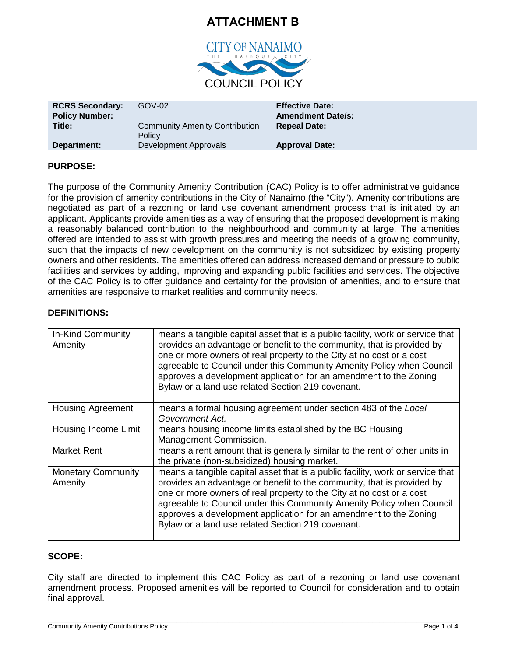# **ATTACHMENT B**



| <b>RCRS Secondary:</b> | $GOV-02$                                        | <b>Effective Date:</b>   |  |
|------------------------|-------------------------------------------------|--------------------------|--|
| <b>Policy Number:</b>  |                                                 | <b>Amendment Date/s:</b> |  |
| Title:                 | <b>Community Amenity Contribution</b><br>Policy | <b>Repeal Date:</b>      |  |
| Department:            | Development Approvals                           | <b>Approval Date:</b>    |  |

## **PURPOSE:**

The purpose of the Community Amenity Contribution (CAC) Policy is to offer administrative guidance for the provision of amenity contributions in the City of Nanaimo (the "City"). Amenity contributions are negotiated as part of a rezoning or land use covenant amendment process that is initiated by an applicant. Applicants provide amenities as a way of ensuring that the proposed development is making a reasonably balanced contribution to the neighbourhood and community at large. The amenities offered are intended to assist with growth pressures and meeting the needs of a growing community, such that the impacts of new development on the community is not subsidized by existing property owners and other residents. The amenities offered can address increased demand or pressure to public facilities and services by adding, improving and expanding public facilities and services. The objective of the CAC Policy is to offer guidance and certainty for the provision of amenities, and to ensure that amenities are responsive to market realities and community needs.

## **DEFINITIONS:**

| In-Kind Community<br>Amenity         | means a tangible capital asset that is a public facility, work or service that<br>provides an advantage or benefit to the community, that is provided by<br>one or more owners of real property to the City at no cost or a cost<br>agreeable to Council under this Community Amenity Policy when Council<br>approves a development application for an amendment to the Zoning<br>Bylaw or a land use related Section 219 covenant. |  |
|--------------------------------------|-------------------------------------------------------------------------------------------------------------------------------------------------------------------------------------------------------------------------------------------------------------------------------------------------------------------------------------------------------------------------------------------------------------------------------------|--|
| <b>Housing Agreement</b>             | means a formal housing agreement under section 483 of the Local<br>Government Act.                                                                                                                                                                                                                                                                                                                                                  |  |
| Housing Income Limit                 | means housing income limits established by the BC Housing<br>Management Commission.                                                                                                                                                                                                                                                                                                                                                 |  |
| <b>Market Rent</b>                   | means a rent amount that is generally similar to the rent of other units in<br>the private (non-subsidized) housing market.                                                                                                                                                                                                                                                                                                         |  |
| <b>Monetary Community</b><br>Amenity | means a tangible capital asset that is a public facility, work or service that<br>provides an advantage or benefit to the community, that is provided by<br>one or more owners of real property to the City at no cost or a cost<br>agreeable to Council under this Community Amenity Policy when Council<br>approves a development application for an amendment to the Zoning<br>Bylaw or a land use related Section 219 covenant. |  |

## **SCOPE:**

City staff are directed to implement this CAC Policy as part of a rezoning or land use covenant amendment process. Proposed amenities will be reported to Council for consideration and to obtain final approval.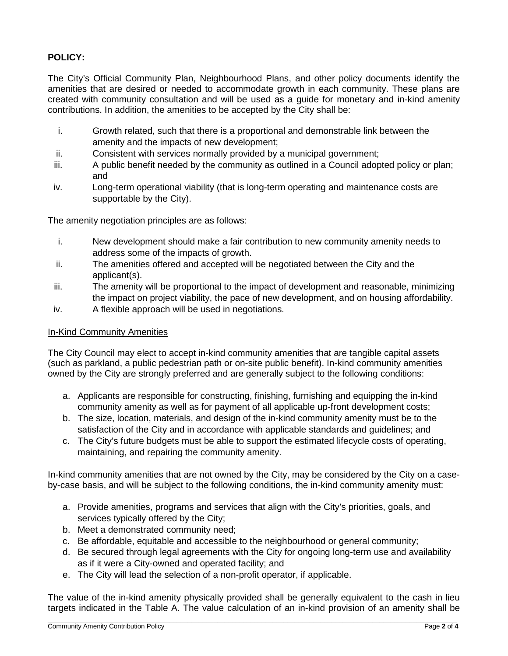## **POLICY:**

The City's Official Community Plan, Neighbourhood Plans, and other policy documents identify the amenities that are desired or needed to accommodate growth in each community. These plans are created with community consultation and will be used as a guide for monetary and in-kind amenity contributions. In addition, the amenities to be accepted by the City shall be:

- i. Growth related, such that there is a proportional and demonstrable link between the amenity and the impacts of new development;
- ii. Consistent with services normally provided by a municipal government;
- iii. A public benefit needed by the community as outlined in a Council adopted policy or plan; and
- iv. Long-term operational viability (that is long-term operating and maintenance costs are supportable by the City).

The amenity negotiation principles are as follows:

- i. New development should make a fair contribution to new community amenity needs to address some of the impacts of growth.
- ii. The amenities offered and accepted will be negotiated between the City and the applicant(s).
- iii. The amenity will be proportional to the impact of development and reasonable, minimizing the impact on project viability, the pace of new development, and on housing affordability.
- iv. A flexible approach will be used in negotiations.

#### In-Kind Community Amenities

The City Council may elect to accept in-kind community amenities that are tangible capital assets (such as parkland, a public pedestrian path or on-site public benefit). In-kind community amenities owned by the City are strongly preferred and are generally subject to the following conditions:

- a. Applicants are responsible for constructing, finishing, furnishing and equipping the in-kind community amenity as well as for payment of all applicable up-front development costs;
- b. The size, location, materials, and design of the in-kind community amenity must be to the satisfaction of the City and in accordance with applicable standards and guidelines; and
- c. The City's future budgets must be able to support the estimated lifecycle costs of operating, maintaining, and repairing the community amenity.

In-kind community amenities that are not owned by the City, may be considered by the City on a caseby-case basis, and will be subject to the following conditions, the in-kind community amenity must:

- a. Provide amenities, programs and services that align with the City's priorities, goals, and services typically offered by the City;
- b. Meet a demonstrated community need;
- c. Be affordable, equitable and accessible to the neighbourhood or general community;
- d. Be secured through legal agreements with the City for ongoing long-term use and availability as if it were a City-owned and operated facility; and
- e. The City will lead the selection of a non-profit operator, if applicable.

The value of the in-kind amenity physically provided shall be generally equivalent to the cash in lieu targets indicated in the Table A. The value calculation of an in-kind provision of an amenity shall be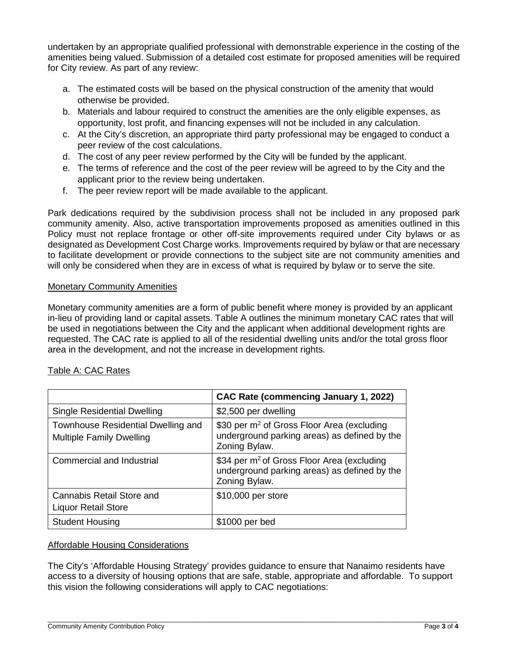undertaken by an appropriate qualified professional with demonstrable experience in the costing of the amenities being valued. Submission of a detailed cost estimate for proposed amenities will be required for City review. As part of any review:

- a. The estimated costs will be based on the physical construction of the amenity that would otherwise be provided.
- b. Materials and labour required to construct the amenities are the only eligible expenses, as opportunity, lost profit, and financing expenses will not be included in any calculation.
- c. At the City's discretion, an appropriate third party professional may be engaged to conduct a peer review of the cost calculations.
- d. The cost of any peer review performed by the City will be funded by the applicant.
- e. The terms of reference and the cost of the peer review will be agreed to by the City and the applicant prior to the review being undertaken.
- f. The peer review report will be made available to the applicant.

Park dedications required by the subdivision process shall not be included in any proposed park community amenity. Also, active transportation improvements proposed as amenities outlined in this Policy must not replace frontage or other off-site improvements required under City bylaws or as designated as Development Cost Charge works. Improvements required by bylaw or that are necessary to facilitate development or provide connections to the subject site are not community amenities and will only be considered when they are in excess of what is required by bylaw or to serve the site.

## **Monetary Community Amenities**

Monetary community amenities are a form of public benefit where money is provided by an applicant in-lieu of providing land or capital assets. Table A outlines the minimum monetary CAC rates that will be used in negotiations between the City and the applicant when additional development rights are requested. The CAC rate is applied to all of the residential dwelling units and/or the total gross floor area in the development, and not the increase in development rights.

|                                                                       | CAC Rate (commencing January 1, 2022)                                                                                   |  |
|-----------------------------------------------------------------------|-------------------------------------------------------------------------------------------------------------------------|--|
| <b>Single Residential Dwelling</b>                                    | \$2,500 per dwelling                                                                                                    |  |
| Townhouse Residential Dwelling and<br><b>Multiple Family Dwelling</b> | \$30 per m <sup>2</sup> of Gross Floor Area (excluding<br>underground parking areas) as defined by the<br>Zoning Bylaw. |  |
| Commercial and Industrial                                             | \$34 per m <sup>2</sup> of Gross Floor Area (excluding<br>underground parking areas) as defined by the<br>Zoning Bylaw. |  |
| <b>Cannabis Retail Store and</b><br><b>Liquor Retail Store</b>        | \$10,000 per store                                                                                                      |  |
| <b>Student Housing</b>                                                | \$1000 per bed                                                                                                          |  |

## Table A: CAC Rates

#### Affordable Housing Considerations

The City's 'Affordable Housing Strategy' provides guidance to ensure that Nanaimo residents have access to a diversity of housing options that are safe, stable, appropriate and affordable. To support this vision the following considerations will apply to CAC negotiations: